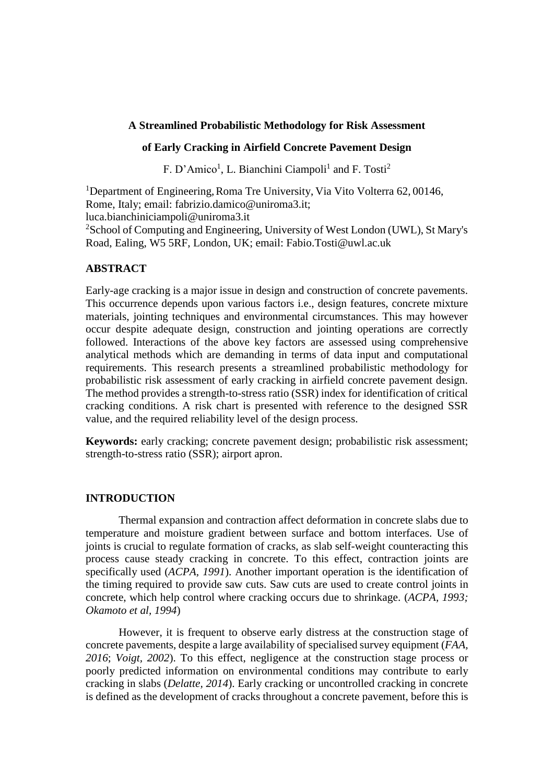# **A Streamlined Probabilistic Methodology for Risk Assessment**

# **of Early Cracking in Airfield Concrete Pavement Design**

F. D'Amico<sup>1</sup>, L. Bianchini Ciampoli<sup>1</sup> and F. Tosti<sup>2</sup>

<sup>1</sup>Department of Engineering, Roma Tre University, Via Vito Volterra 62, 00146, Rome, Italy; email: fabrizio.damico@uniroma3.it; luca.bianchiniciampoli@uniroma3.it

<sup>2</sup>School of Computing and Engineering, University of West London (UWL), St Mary's Road, Ealing, W5 5RF, London, UK; email: Fabio.Tosti@uwl.ac.uk

## **ABSTRACT**

Early-age cracking is a major issue in design and construction of concrete pavements. This occurrence depends upon various factors i.e., design features, concrete mixture materials, jointing techniques and environmental circumstances. This may however occur despite adequate design, construction and jointing operations are correctly followed. Interactions of the above key factors are assessed using comprehensive analytical methods which are demanding in terms of data input and computational requirements. This research presents a streamlined probabilistic methodology for probabilistic risk assessment of early cracking in airfield concrete pavement design. The method provides a strength-to-stress ratio (SSR) index for identification of critical cracking conditions. A risk chart is presented with reference to the designed SSR value, and the required reliability level of the design process.

**Keywords:** early cracking; concrete pavement design; probabilistic risk assessment; strength-to-stress ratio (SSR); airport apron.

### **INTRODUCTION**

Thermal expansion and contraction affect deformation in concrete slabs due to temperature and moisture gradient between surface and bottom interfaces. Use of joints is crucial to regulate formation of cracks, as slab self-weight counteracting this process cause steady cracking in concrete. To this effect, contraction joints are specifically used (*ACPA, 1991*). Another important operation is the identification of the timing required to provide saw cuts. Saw cuts are used to create control joints in concrete, which help control where cracking occurs due to shrinkage. (*ACPA, 1993; Okamoto et al, 1994*)

However, it is frequent to observe early distress at the construction stage of concrete pavements, despite a large availability of specialised survey equipment (*FAA, 2016*; *Voigt, 2002*). To this effect, negligence at the construction stage process or poorly predicted information on environmental conditions may contribute to early cracking in slabs (*Delatte, 2014*). Early cracking or uncontrolled cracking in concrete is defined as the development of cracks throughout a concrete pavement, before this is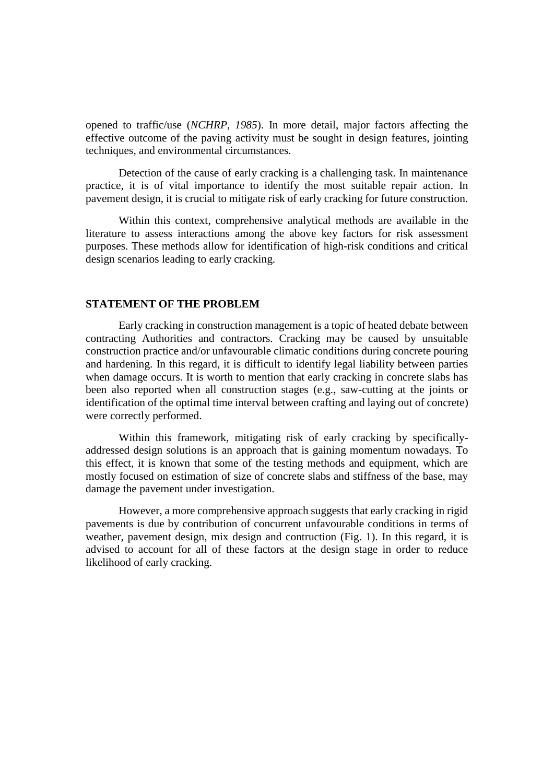opened to traffic/use (*NCHRP, 1985*). In more detail, major factors affecting the effective outcome of the paving activity must be sought in design features, jointing techniques, and environmental circumstances.

Detection of the cause of early cracking is a challenging task. In maintenance practice, it is of vital importance to identify the most suitable repair action. In pavement design, it is crucial to mitigate risk of early cracking for future construction.

Within this context, comprehensive analytical methods are available in the literature to assess interactions among the above key factors for risk assessment purposes. These methods allow for identification of high-risk conditions and critical design scenarios leading to early cracking.

#### **STATEMENT OF THE PROBLEM**

Early cracking in construction management is a topic of heated debate between contracting Authorities and contractors. Cracking may be caused by unsuitable construction practice and/or unfavourable climatic conditions during concrete pouring and hardening. In this regard, it is difficult to identify legal liability between parties when damage occurs. It is worth to mention that early cracking in concrete slabs has been also reported when all construction stages (e.g., saw-cutting at the joints or identification of the optimal time interval between crafting and laying out of concrete) were correctly performed.

Within this framework, mitigating risk of early cracking by specificallyaddressed design solutions is an approach that is gaining momentum nowadays. To this effect, it is known that some of the testing methods and equipment, which are mostly focused on estimation of size of concrete slabs and stiffness of the base, may damage the pavement under investigation.

However, a more comprehensive approach suggests that early cracking in rigid pavements is due by contribution of concurrent unfavourable conditions in terms of weather, pavement design, mix design and contruction (Fig. 1). In this regard, it is advised to account for all of these factors at the design stage in order to reduce likelihood of early cracking.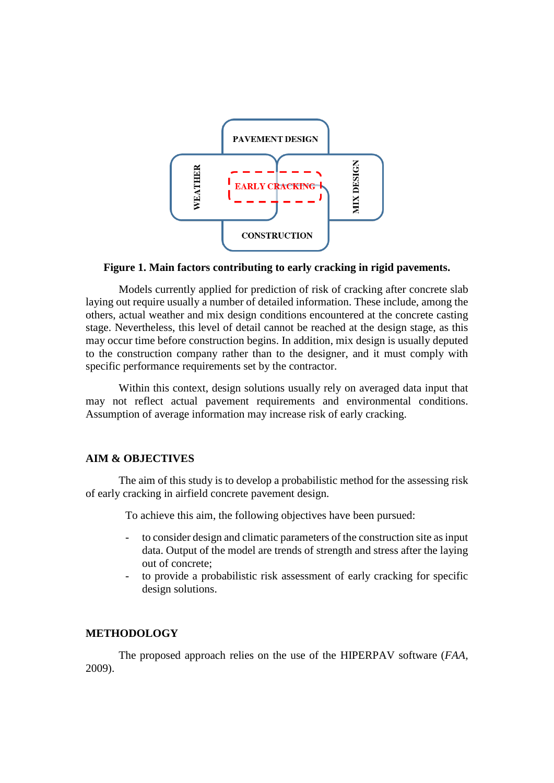

### **Figure 1. Main factors contributing to early cracking in rigid pavements.**

Models currently applied for prediction of risk of cracking after concrete slab laying out require usually a number of detailed information. These include, among the others, actual weather and mix design conditions encountered at the concrete casting stage. Nevertheless, this level of detail cannot be reached at the design stage, as this may occur time before construction begins. In addition, mix design is usually deputed to the construction company rather than to the designer, and it must comply with specific performance requirements set by the contractor.

Within this context, design solutions usually rely on averaged data input that may not reflect actual pavement requirements and environmental conditions. Assumption of average information may increase risk of early cracking.

# **AIM & OBJECTIVES**

The aim of this study is to develop a probabilistic method for the assessing risk of early cracking in airfield concrete pavement design.

To achieve this aim, the following objectives have been pursued:

- to consider design and climatic parameters of the construction site as input data. Output of the model are trends of strength and stress after the laying out of concrete;
- to provide a probabilistic risk assessment of early cracking for specific design solutions.

### **METHODOLOGY**

The proposed approach relies on the use of the HIPERPAV software (*FAA,* 2009).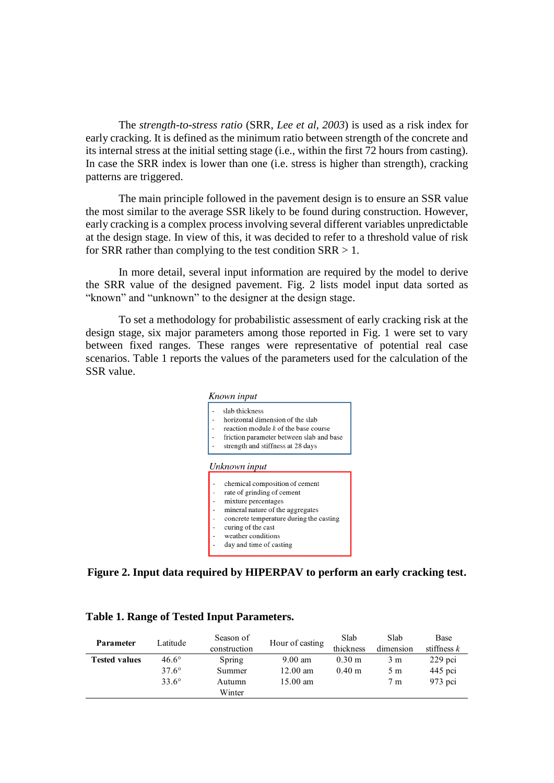The *strength-to-stress ratio* (SRR, *Lee et al, 2003*) is used as a risk index for early cracking. It is defined as the minimum ratio between strength of the concrete and its internal stress at the initial setting stage (i.e., within the first 72 hours from casting). In case the SRR index is lower than one (i.e. stress is higher than strength), cracking patterns are triggered.

The main principle followed in the pavement design is to ensure an SSR value the most similar to the average SSR likely to be found during construction. However, early cracking is a complex process involving several different variables unpredictable at the design stage. In view of this, it was decided to refer to a threshold value of risk for SRR rather than complying to the test condition  $SRR > 1$ .

In more detail, several input information are required by the model to derive the SRR value of the designed pavement. Fig. 2 lists model input data sorted as "known" and "unknown" to the designer at the design stage.

To set a methodology for probabilistic assessment of early cracking risk at the design stage, six major parameters among those reported in Fig. 1 were set to vary between fixed ranges. These ranges were representative of potential real case scenarios. Table 1 reports the values of the parameters used for the calculation of the SSR value.



**Figure 2. Input data required by HIPERPAV to perform an early cracking test.**

| <b>Parameter</b>     | Latitude -     | Season of    | Hour of casting    | Slab             | Slab           | Base          |
|----------------------|----------------|--------------|--------------------|------------------|----------------|---------------|
|                      |                | construction |                    | thickness        | dimension      | stiffness $k$ |
| <b>Tested values</b> | $46.6^\circ$   | Spring       | $9.00 \text{ am}$  | $0.30 \text{ m}$ | 3 m            | $229$ pci     |
|                      | $37.6^{\circ}$ | Summer       | $12.00$ am         | $0.40 \;{\rm m}$ | 5m             | $445$ pci     |
|                      | $33.6^{\circ}$ | Autumn       | $15.00 \text{ am}$ |                  | 7 <sub>m</sub> | $973$ pci     |
|                      |                | Winter       |                    |                  |                |               |

## **Table 1. Range of Tested Input Parameters.**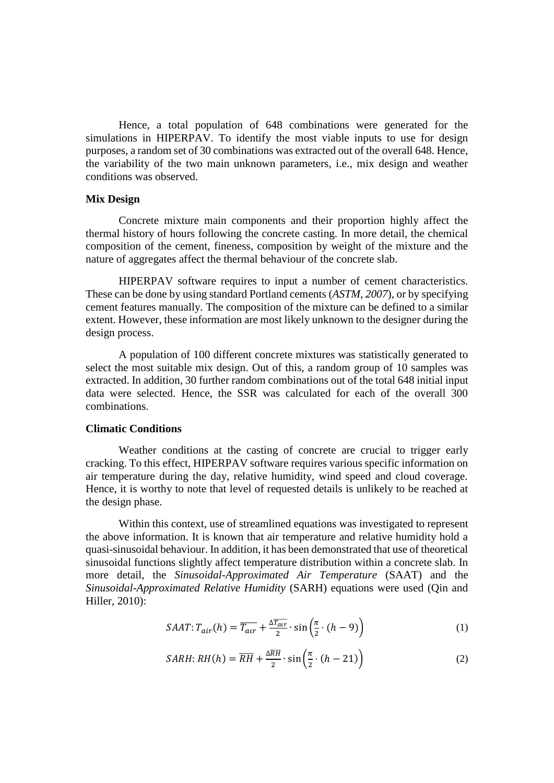Hence, a total population of 648 combinations were generated for the simulations in HIPERPAV. To identify the most viable inputs to use for design purposes, a random set of 30 combinations was extracted out of the overall 648. Hence, the variability of the two main unknown parameters, i.e., mix design and weather conditions was observed.

### **Mix Design**

Concrete mixture main components and their proportion highly affect the thermal history of hours following the concrete casting. In more detail, the chemical composition of the cement, fineness, composition by weight of the mixture and the nature of aggregates affect the thermal behaviour of the concrete slab.

HIPERPAV software requires to input a number of cement characteristics. These can be done by using standard Portland cements (*ASTM, 2007*), or by specifying cement features manually. The composition of the mixture can be defined to a similar extent. However, these information are most likely unknown to the designer during the design process.

A population of 100 different concrete mixtures was statistically generated to select the most suitable mix design. Out of this, a random group of 10 samples was extracted. In addition, 30 further random combinations out of the total 648 initial input data were selected. Hence, the SSR was calculated for each of the overall 300 combinations.

#### **Climatic Conditions**

Weather conditions at the casting of concrete are crucial to trigger early cracking. To this effect, HIPERPAV software requires various specific information on air temperature during the day, relative humidity, wind speed and cloud coverage. Hence, it is worthy to note that level of requested details is unlikely to be reached at the design phase.

Within this context, use of streamlined equations was investigated to represent the above information. It is known that air temperature and relative humidity hold a quasi-sinusoidal behaviour. In addition, it has been demonstrated that use of theoretical sinusoidal functions slightly affect temperature distribution within a concrete slab. In more detail, the *Sinusoidal-Approximated Air Temperature* (SAAT) and the *Sinusoidal-Approximated Relative Humidity* (SARH) equations were used (Qin and Hiller, 2010):

$$
SAAT: T_{air}(h) = \overline{T_{air}} + \frac{\Delta \overline{T_{air}}}{2} \cdot \sin\left(\frac{\pi}{2} \cdot (h - 9)\right)
$$
 (1)

$$
SARH: RH(h) = \overline{RH} + \frac{\Delta \overline{RH}}{2} \cdot \sin\left(\frac{\pi}{2} \cdot (h - 21)\right)
$$
 (2)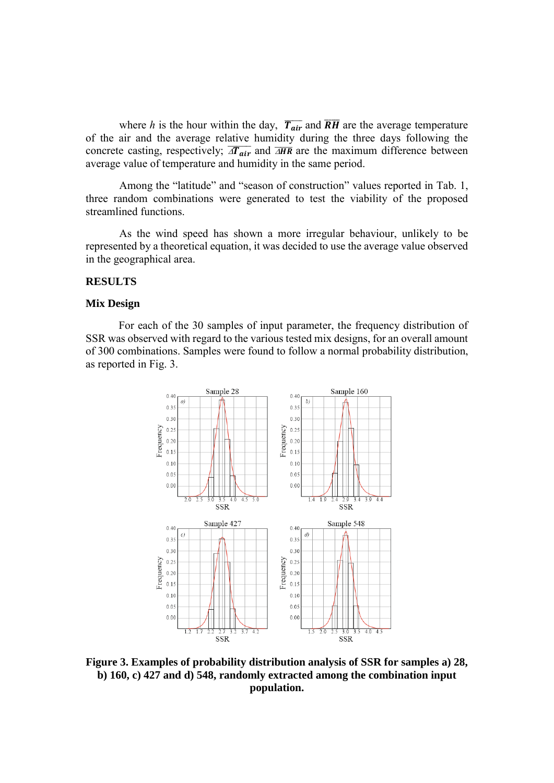where *h* is the hour within the day,  $\overline{T_{air}}$  and  $\overline{RH}$  are the average temperature of the air and the average relative humidity during the three days following the concrete casting, respectively;  $\overline{AT_{air}}$  and  $\overline{AHR}$  are the maximum difference between average value of temperature and humidity in the same period.

Among the "latitude" and "season of construction" values reported in Tab. 1, three random combinations were generated to test the viability of the proposed streamlined functions.

As the wind speed has shown a more irregular behaviour, unlikely to be represented by a theoretical equation, it was decided to use the average value observed in the geographical area.

# **RESULTS**

### **Mix Design**

For each of the 30 samples of input parameter, the frequency distribution of SSR was observed with regard to the various tested mix designs, for an overall amount of 300 combinations. Samples were found to follow a normal probability distribution, as reported in Fig. 3.



**Figure 3. Examples of probability distribution analysis of SSR for samples a) 28, b) 160, c) 427 and d) 548, randomly extracted among the combination input population.**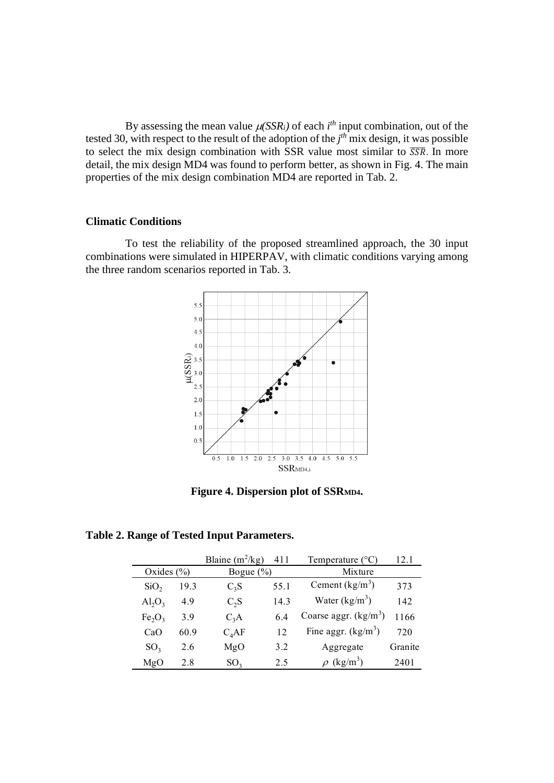By assessing the mean value  $\mu$ (*SSR<sub>i</sub>*) of each *i*<sup>th</sup> input combination, out of the tested 30, with respect to the result of the adoption of the *j th* mix design, it was possible to select the mix design combination with SSR value most similar to  $\overline{SSR}$ . In more detail, the mix design MD4 was found to perform better, as shown in Fig. 4. The main properties of the mix design combination MD4 are reported in Tab. 2.

# **Climatic Conditions**

To test the reliability of the proposed streamlined approach, the 30 input combinations were simulated in HIPERPAV, with climatic conditions varying among the three random scenarios reported in Tab. 3.



**Figure 4. Dispersion plot of SSRMD4.**

**Table 2. Range of Tested Input Parameters.**

|                         |      | Blaine $(m^2/kg)$ | 411  | Temperature $(^{\circ}C)$ | 12.1    |
|-------------------------|------|-------------------|------|---------------------------|---------|
| Oxides $(\% )$          |      | Bogue $(\% )$     |      | Mixture                   |         |
| SiO <sub>2</sub>        | 19.3 | $C_3S$            | 55.1 | Cement $(kg/m3)$          | 373     |
| $\text{Al}_2\text{O}_3$ | 4.9  | $C_2S$            | 14.3 | Water $(kg/m^3)$          | 142     |
| $Fe_2O_3$               | 3.9  | $C_3A$            | 64   | Coarse aggr. $(kg/m3)$    | 1166    |
| CaO                     | 60.9 | C <sub>4</sub> AF | 12   | Fine aggr. $(kg/m^3)$     | 720     |
| SO <sub>3</sub>         | 2.6  | MgO               | 3.2  | Aggregate                 | Granite |
| MgO                     | 2.8  | SO <sub>3</sub>   | 2.5  | $(kg/m^3)$                | 2401    |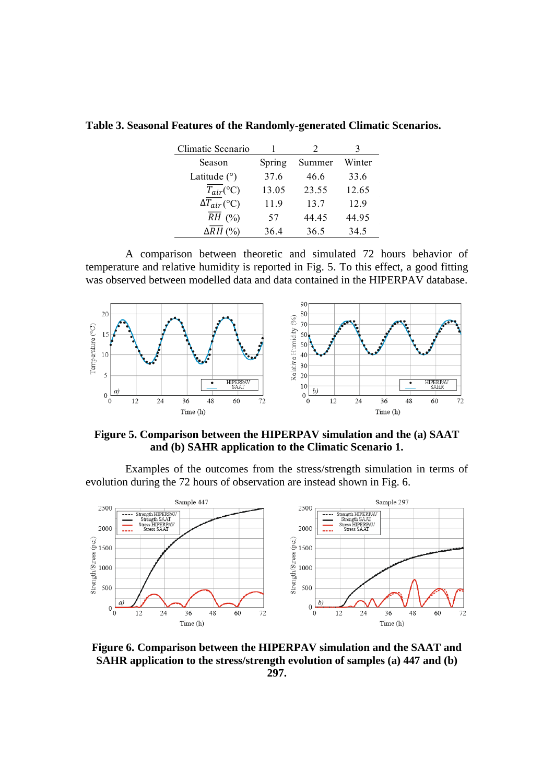| Climatic Scenario     |        | 2      |        |
|-----------------------|--------|--------|--------|
| Season                | Spring | Summer | Winter |
| Latitude $(°)$        | 37.6   | 46.6   | 33.6   |
| $T_{air}$ (°C)        | 13.05  | 23.55  | 12.65  |
| $\Delta T_{air}$ (°C) | 11.9   | 13.7   | 12.9   |
| $RH$ (%)              | 57     | 44.45  | 44.95  |
| $\Delta RH$ (%)       | 36.4   | 36.5   | 34.5   |

**Table 3. Seasonal Features of the Randomly-generated Climatic Scenarios.**

A comparison between theoretic and simulated 72 hours behavior of temperature and relative humidity is reported in Fig. 5. To this effect, a good fitting was observed between modelled data and data contained in the HIPERPAV database.



**Figure 5. Comparison between the HIPERPAV simulation and the (a) SAAT and (b) SAHR application to the Climatic Scenario 1.**

Examples of the outcomes from the stress/strength simulation in terms of evolution during the 72 hours of observation are instead shown in Fig. 6.



**Figure 6. Comparison between the HIPERPAV simulation and the SAAT and SAHR application to the stress/strength evolution of samples (a) 447 and (b) 297.**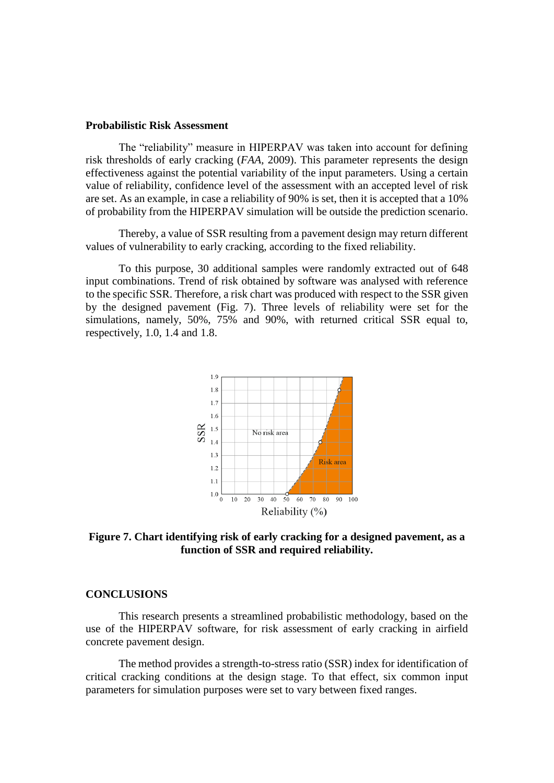#### **Probabilistic Risk Assessment**

The "reliability" measure in HIPERPAV was taken into account for defining risk thresholds of early cracking (*FAA,* 2009). This parameter represents the design effectiveness against the potential variability of the input parameters. Using a certain value of reliability, confidence level of the assessment with an accepted level of risk are set. As an example, in case a reliability of 90% is set, then it is accepted that a 10% of probability from the HIPERPAV simulation will be outside the prediction scenario.

Thereby, a value of SSR resulting from a pavement design may return different values of vulnerability to early cracking, according to the fixed reliability.

To this purpose, 30 additional samples were randomly extracted out of 648 input combinations. Trend of risk obtained by software was analysed with reference to the specific SSR. Therefore, a risk chart was produced with respect to the SSR given by the designed pavement (Fig. 7). Three levels of reliability were set for the simulations, namely, 50%, 75% and 90%, with returned critical SSR equal to, respectively, 1.0, 1.4 and 1.8.



**Figure 7. Chart identifying risk of early cracking for a designed pavement, as a function of SSR and required reliability.**

#### **CONCLUSIONS**

This research presents a streamlined probabilistic methodology, based on the use of the HIPERPAV software, for risk assessment of early cracking in airfield concrete pavement design.

The method provides a strength-to-stress ratio (SSR) index for identification of critical cracking conditions at the design stage. To that effect, six common input parameters for simulation purposes were set to vary between fixed ranges.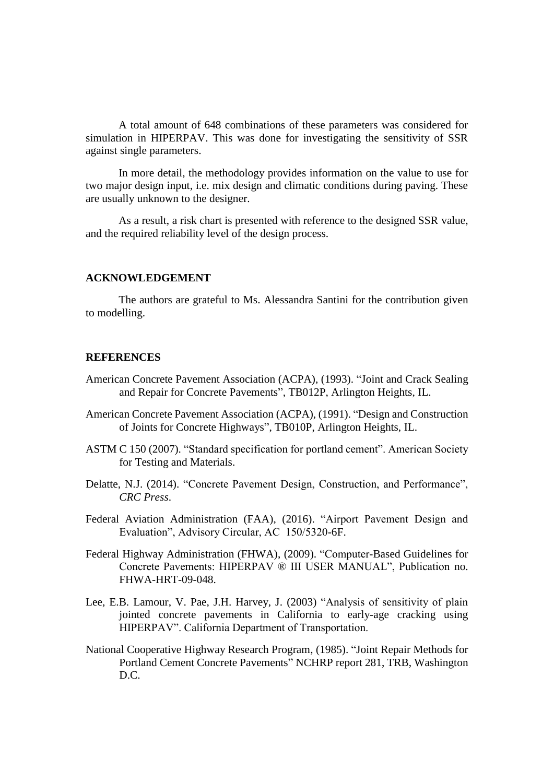A total amount of 648 combinations of these parameters was considered for simulation in HIPERPAV. This was done for investigating the sensitivity of SSR against single parameters.

In more detail, the methodology provides information on the value to use for two major design input, i.e. mix design and climatic conditions during paving. These are usually unknown to the designer.

As a result, a risk chart is presented with reference to the designed SSR value, and the required reliability level of the design process.

#### **ACKNOWLEDGEMENT**

The authors are grateful to Ms. Alessandra Santini for the contribution given to modelling.

#### **REFERENCES**

- American Concrete Pavement Association (ACPA), (1993). "Joint and Crack Sealing and Repair for Concrete Pavements", TB012P, Arlington Heights, IL.
- American Concrete Pavement Association (ACPA), (1991). "Design and Construction of Joints for Concrete Highways", TB010P, Arlington Heights, IL.
- ASTM C 150 (2007). "Standard specification for portland cement". American Society for Testing and Materials.
- Delatte, N.J. (2014). "Concrete Pavement Design, Construction, and Performance", *CRC Press*.
- Federal Aviation Administration (FAA), (2016). "Airport Pavement Design and Evaluation", Advisory Circular, AC 150/5320-6F.
- Federal Highway Administration (FHWA), (2009). "Computer-Based Guidelines for Concrete Pavements: HIPERPAV ® III USER MANUAL", Publication no. FHWA-HRT-09-048.
- Lee, E.B. Lamour, V. Pae, J.H. Harvey, J. (2003) "Analysis of sensitivity of plain jointed concrete pavements in California to early-age cracking using HIPERPAV". California Department of Transportation.
- National Cooperative Highway Research Program, (1985). "Joint Repair Methods for Portland Cement Concrete Pavements" NCHRP report 281, TRB, Washington D.C.